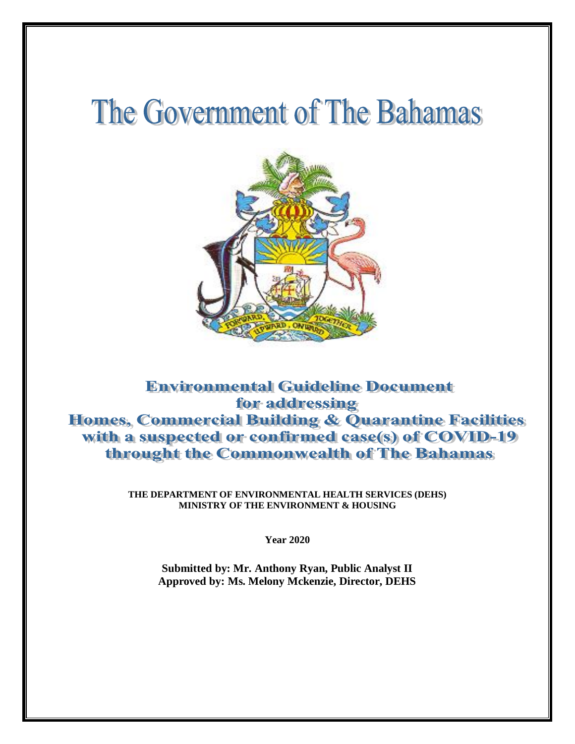# The Government of The Bahamas



### **Environmental Guideline Document** for addressing Homes, Commercial Building & Quarantine Facilities with a suspected or confirmed case(s) of COVID-19 throught the Commonwealth of The Bahamas

**THE DEPARTMENT OF ENVIRONMENTAL HEALTH SERVICES (DEHS) MINISTRY OF THE ENVIRONMENT & HOUSING**

**Year 2020**

**Submitted by: Mr. Anthony Ryan, Public Analyst II Approved by: Ms. Melony Mckenzie, Director, DEHS**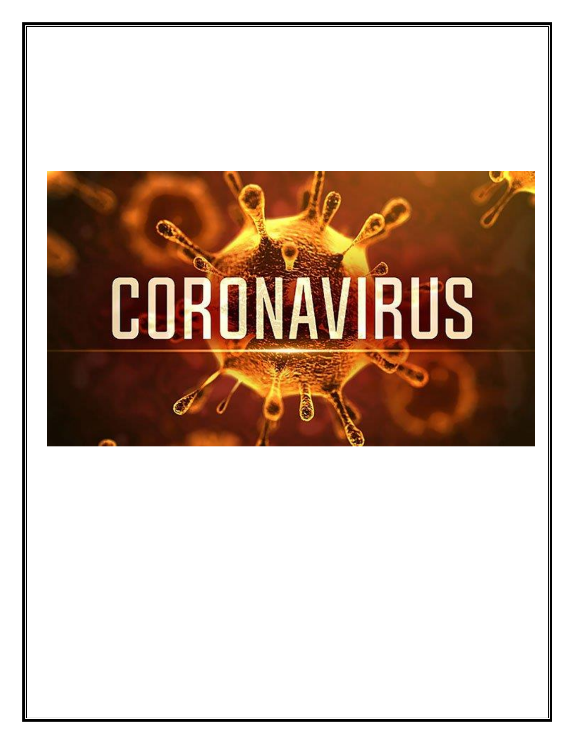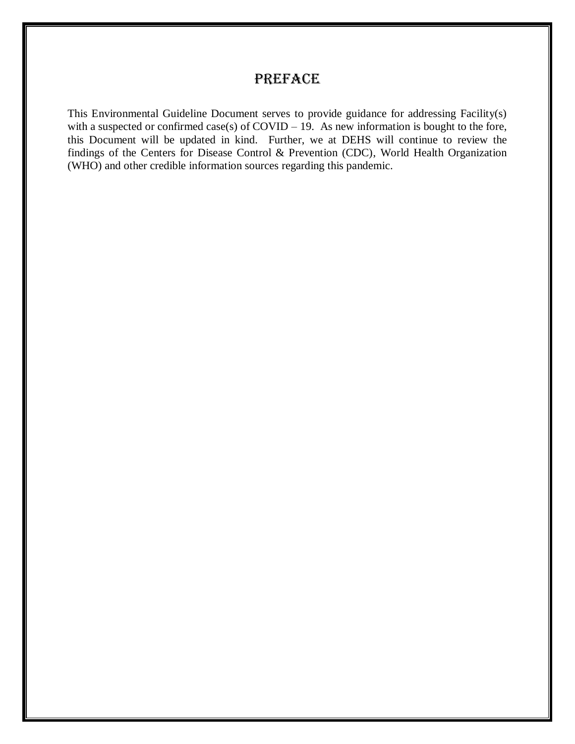### **PREFACE**

This Environmental Guideline Document serves to provide guidance for addressing Facility(s) with a suspected or confirmed case(s) of COVID – 19. As new information is bought to the fore, this Document will be updated in kind. Further, we at DEHS will continue to review the findings of the Centers for Disease Control & Prevention (CDC), World Health Organization (WHO) and other credible information sources regarding this pandemic.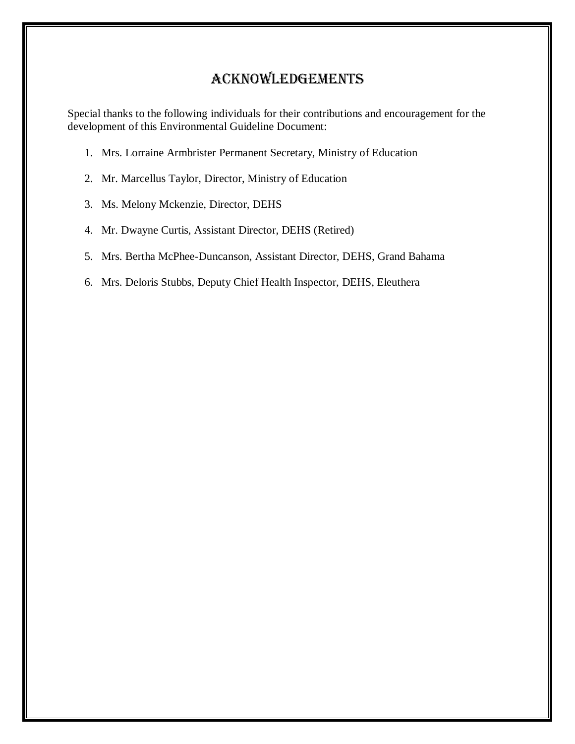### Acknowledgements

Special thanks to the following individuals for their contributions and encouragement for the development of this Environmental Guideline Document:

- 1. Mrs. Lorraine Armbrister Permanent Secretary, Ministry of Education
- 2. Mr. Marcellus Taylor, Director, Ministry of Education
- 3. Ms. Melony Mckenzie, Director, DEHS
- 4. Mr. Dwayne Curtis, Assistant Director, DEHS (Retired)
- 5. Mrs. Bertha McPhee-Duncanson, Assistant Director, DEHS, Grand Bahama
- 6. Mrs. Deloris Stubbs, Deputy Chief Health Inspector, DEHS, Eleuthera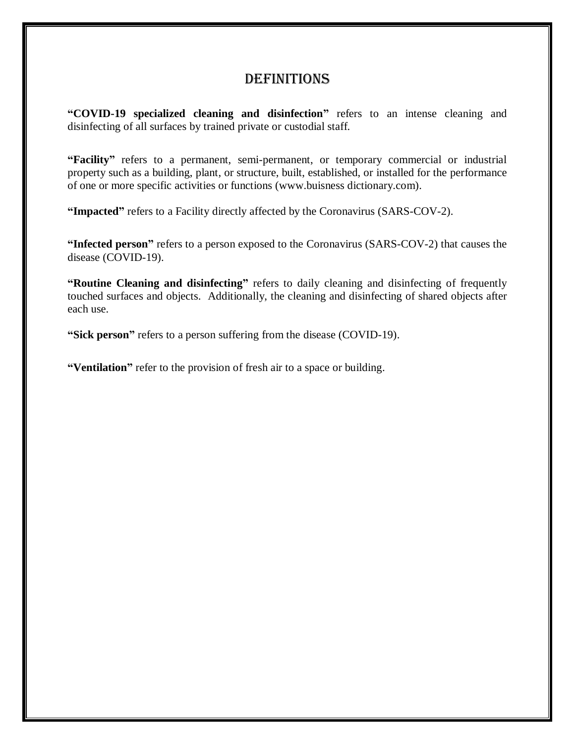### **DEFINITIONS**

**"COVID-19 specialized cleaning and disinfection"** refers to an intense cleaning and disinfecting of all surfaces by trained private or custodial staff.

**"Facility"** refers to a permanent, semi-permanent, or temporary commercial or industrial property such as a building, plant, or structure, built, established, or installed for the performance of one or more specific activities or functions (www.buisness dictionary.com).

**"Impacted"** refers to a Facility directly affected by the Coronavirus (SARS-COV-2).

**"Infected person"** refers to a person exposed to the Coronavirus (SARS-COV-2) that causes the disease (COVID-19).

**"Routine Cleaning and disinfecting"** refers to daily cleaning and disinfecting of frequently touched surfaces and objects. Additionally, the cleaning and disinfecting of shared objects after each use.

**"Sick person"** refers to a person suffering from the disease (COVID-19).

**"Ventilation"** refer to the provision of fresh air to a space or building.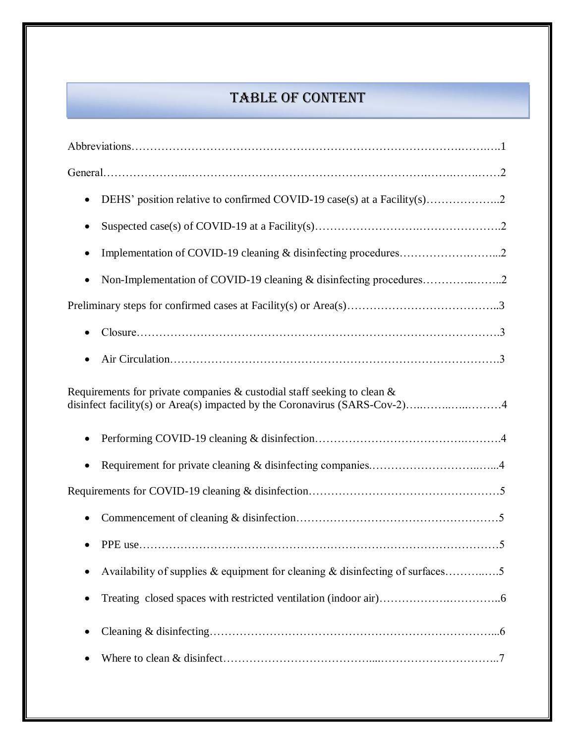# TABLE OF CONTENT

| $\bullet$                                                                      |
|--------------------------------------------------------------------------------|
|                                                                                |
| $\bullet$                                                                      |
| Non-Implementation of COVID-19 cleaning & disinfecting procedures<br>$\bullet$ |
|                                                                                |
| $\bullet$                                                                      |
|                                                                                |
| Requirements for private companies $\&$ custodial staff seeking to clean $\&$  |
|                                                                                |
|                                                                                |
|                                                                                |
|                                                                                |
|                                                                                |
| Availability of supplies & equipment for cleaning & disinfecting of surfaces5  |
|                                                                                |
|                                                                                |
|                                                                                |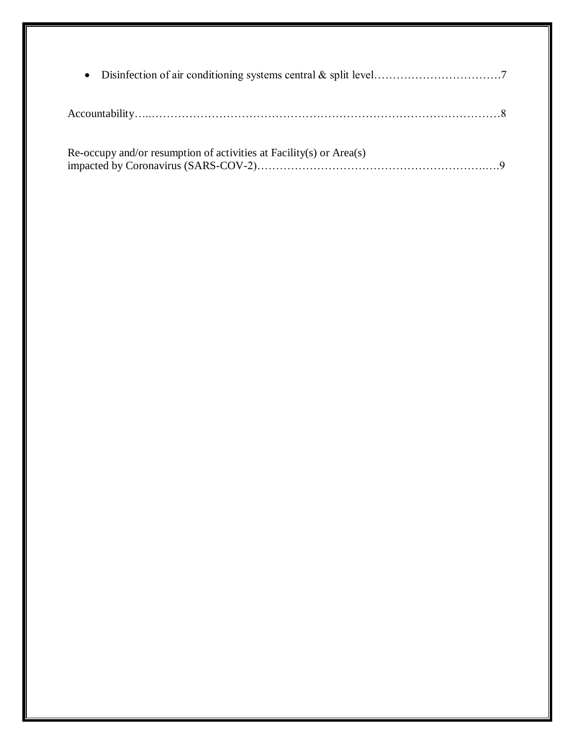| Re-occupy and/or resumption of activities at Facility(s) or Area(s) |  |
|---------------------------------------------------------------------|--|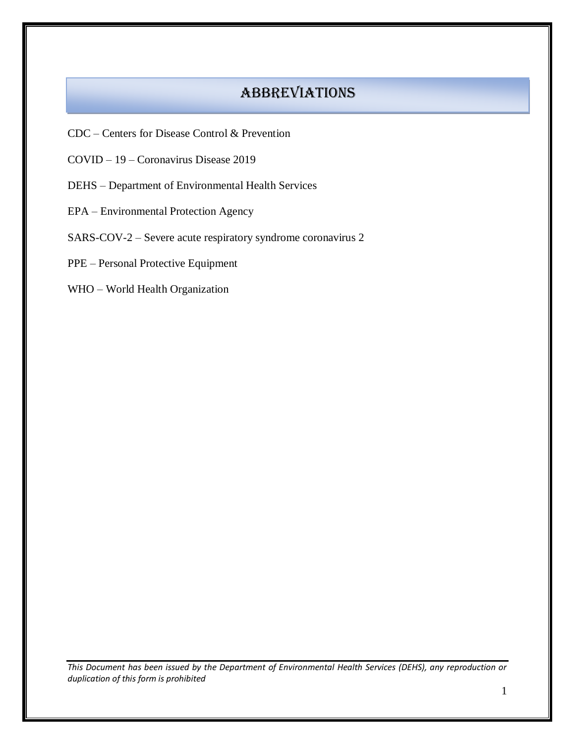### **ABBREVIATIONS**

- CDC Centers for Disease Control & Prevention
- COVID 19 Coronavirus Disease 2019
- DEHS Department of Environmental Health Services
- EPA Environmental Protection Agency
- SARS-COV-2 Severe acute respiratory syndrome coronavirus 2
- PPE Personal Protective Equipment
- WHO World Health Organization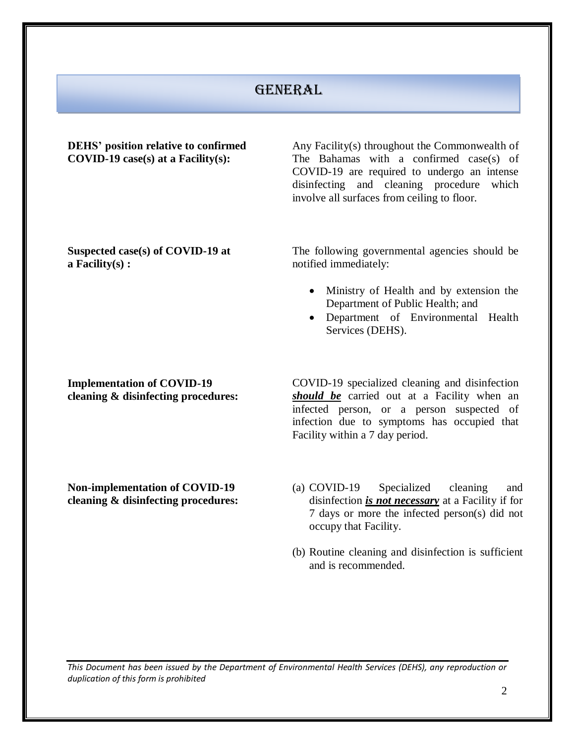### **GENERAL**

| <b>DEHS'</b> position relative to confirmed<br>$COVID-19 case(s)$ at a Facility(s): | Any Facility(s) throughout the Commonwealth of<br>The Bahamas with a confirmed case(s) of<br>COVID-19 are required to undergo an intense<br>disinfecting and cleaning procedure<br>which<br>involve all surfaces from ceiling to floor.                             |
|-------------------------------------------------------------------------------------|---------------------------------------------------------------------------------------------------------------------------------------------------------------------------------------------------------------------------------------------------------------------|
| Suspected case(s) of COVID-19 at<br>a Facility $(s)$ :                              | The following governmental agencies should be<br>notified immediately:<br>Ministry of Health and by extension the<br>$\bullet$<br>Department of Public Health; and<br>Department of Environmental Health<br>$\bullet$<br>Services (DEHS).                           |
| <b>Implementation of COVID-19</b><br>cleaning & disinfecting procedures:            | COVID-19 specialized cleaning and disinfection<br>should be carried out at a Facility when an<br>infected person, or a person suspected of<br>infection due to symptoms has occupied that<br>Facility within a 7 day period.                                        |
| <b>Non-implementation of COVID-19</b><br>cleaning & disinfecting procedures:        | (a) COVID-19<br>Specialized<br>cleaning<br>and<br>disinfection <i>is not necessary</i> at a Facility if for<br>7 days or more the infected person(s) did not<br>occupy that Facility.<br>(b) Routine cleaning and disinfection is sufficient<br>and is recommended. |
|                                                                                     |                                                                                                                                                                                                                                                                     |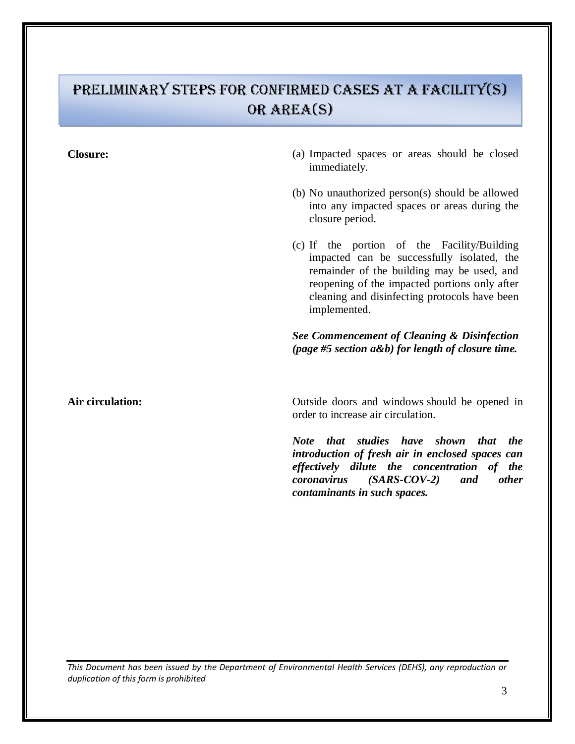# Preliminary steps for confirmed cases at a Facility(s) or area(s)

- **Closure:** (a) Impacted spaces or areas should be closed immediately.
	- (b) No unauthorized person(s) should be allowed into any impacted spaces or areas during the closure period.
	- (c) If the portion of the Facility/Building impacted can be successfully isolated, the remainder of the building may be used, and reopening of the impacted portions only after cleaning and disinfecting protocols have been implemented.

### *See Commencement of Cleaning & Disinfection (page #5 section a&b) for length of closure time.*

Air circulation: Outside doors and windows should be opened in order to increase air circulation.

> *Note that studies have shown that the introduction of fresh air in enclosed spaces can effectively dilute the concentration of the coronavirus (SARS-COV-2) and other contaminants in such spaces.*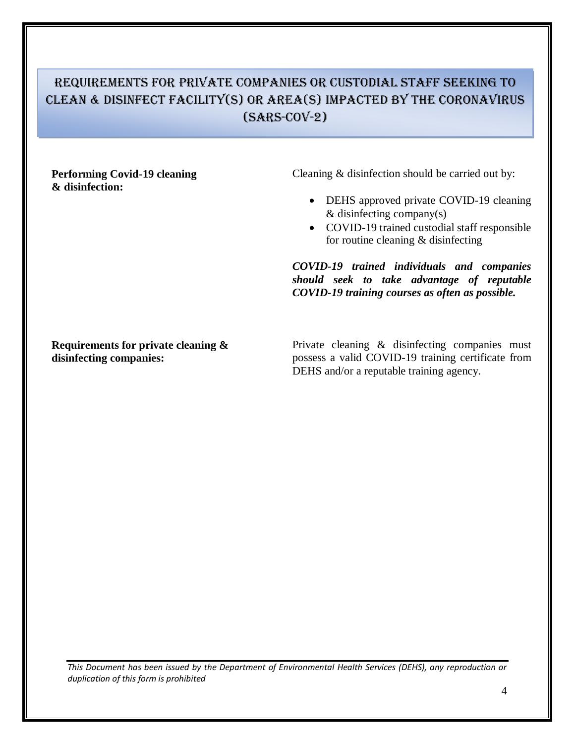### Requirements for private companies or custodial staff seeking to Clean & disinfect facility(s) or Area(s) impacted by the coronavirus  $(SARS-C0V-2)$

### **Performing Covid-19 cleaning & disinfection:**

Cleaning & disinfection should be carried out by:

- DEHS approved private COVID-19 cleaning & disinfecting company(s)
- COVID-19 trained custodial staff responsible for routine cleaning & disinfecting

*COVID-19 trained individuals and companies should seek to take advantage of reputable COVID-19 training courses as often as possible.*

**Requirements for private cleaning & disinfecting companies:**

Private cleaning & disinfecting companies must possess a valid COVID-19 training certificate from DEHS and/or a reputable training agency.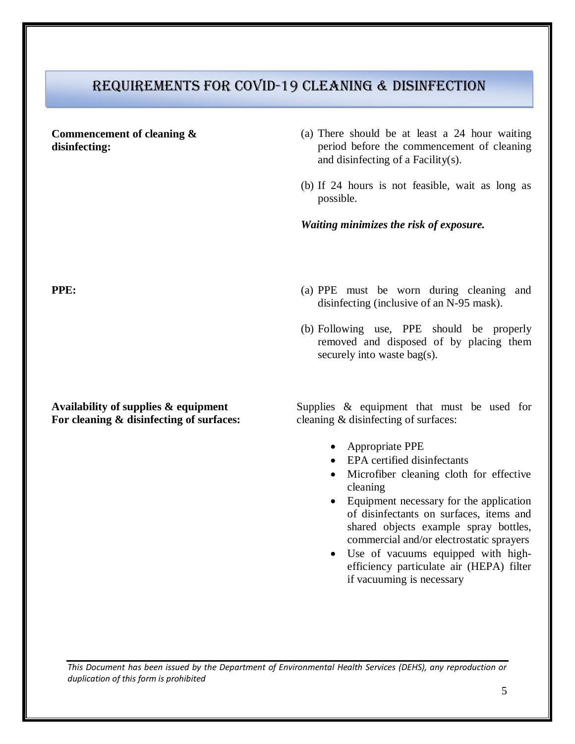### Requirements for covid-19 cleaning & disinfection

### **Commencement of cleaning & disinfecting:**

- (a) There should be at least a 24 hour waiting period before the commencement of cleaning and disinfecting of a Facility(s).
- (b) If 24 hours is not feasible, wait as long as possible.

*Waiting minimizes the risk of exposure.*

- **PPE:** (a) PPE must be worn during cleaning and disinfecting (inclusive of an N-95 mask).
	- (b) Following use, PPE should be properly removed and disposed of by placing them securely into waste bag(s).

Supplies & equipment that must be used for cleaning & disinfecting of surfaces:

- Appropriate PPE
- EPA certified disinfectants
- Microfiber cleaning cloth for effective cleaning
- Equipment necessary for the application of disinfectants on surfaces, items and shared objects example spray bottles, commercial and/or electrostatic sprayers
- Use of vacuums equipped with highefficiency particulate air (HEPA) filter if vacuuming is necessary

**Availability of supplies & equipment For cleaning & disinfecting of surfaces:**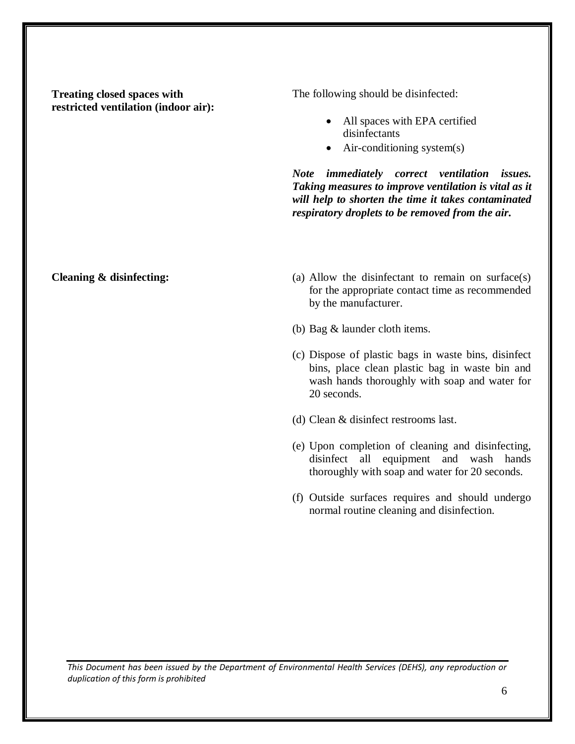**Treating closed spaces with restricted ventilation (indoor air):** The following should be disinfected:

- All spaces with EPA certified disinfectants
- $\bullet$  Air-conditioning system(s)

*Note immediately correct ventilation issues. Taking measures to improve ventilation is vital as it will help to shorten the time it takes contaminated respiratory droplets to be removed from the air.*

- **Cleaning & disinfecting:** (a) Allow the disinfectant to remain on surface(s) for the appropriate contact time as recommended by the manufacturer.
	- (b) Bag & launder cloth items.
	- (c) Dispose of plastic bags in waste bins, disinfect bins, place clean plastic bag in waste bin and wash hands thoroughly with soap and water for 20 seconds.
	- (d) Clean & disinfect restrooms last.
	- (e) Upon completion of cleaning and disinfecting, disinfect all equipment and wash hands thoroughly with soap and water for 20 seconds.
	- (f) Outside surfaces requires and should undergo normal routine cleaning and disinfection.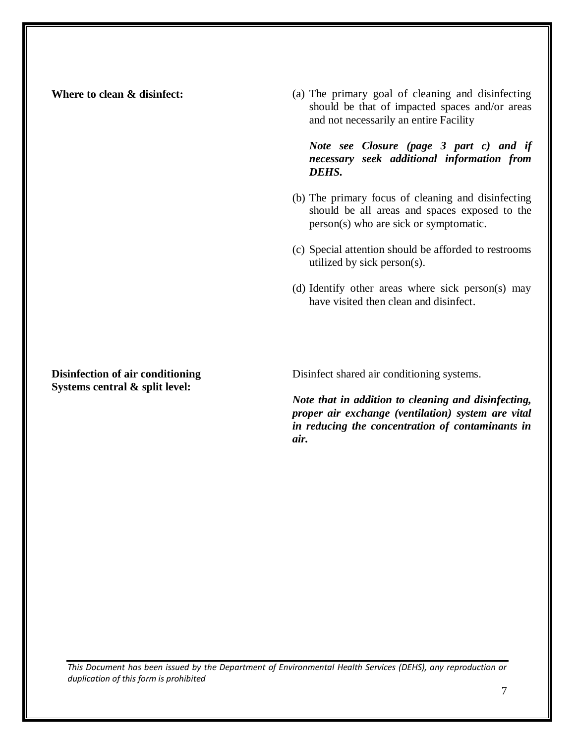**Where to clean & disinfect:** (a) The primary goal of cleaning and disinfecting should be that of impacted spaces and/or areas and not necessarily an entire Facility

### *Note see Closure (page 3 part c) and if necessary seek additional information from DEHS.*

- (b) The primary focus of cleaning and disinfecting should be all areas and spaces exposed to the person(s) who are sick or symptomatic.
- (c) Special attention should be afforded to restrooms utilized by sick person(s).
- (d) Identify other areas where sick person(s) may have visited then clean and disinfect.

**Disinfection of air conditioning Systems central & split level:**

Disinfect shared air conditioning systems.

*Note that in addition to cleaning and disinfecting, proper air exchange (ventilation) system are vital in reducing the concentration of contaminants in air.*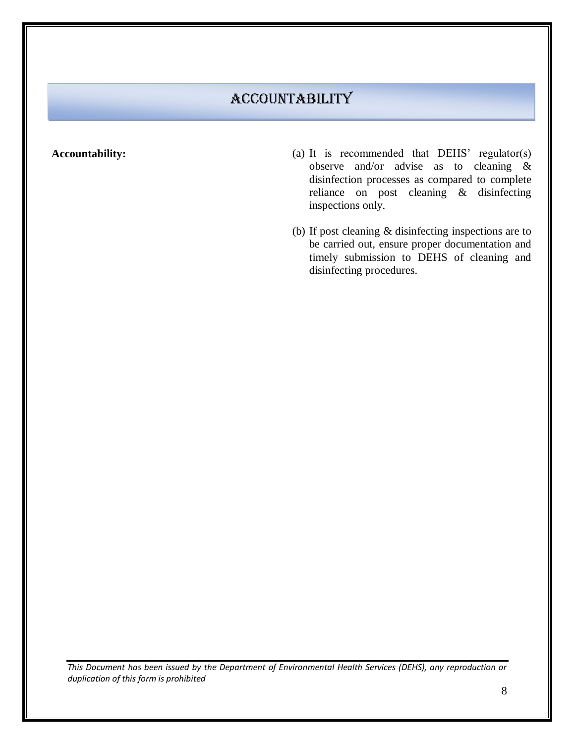# Accountability

- **Accountability:** (a) It is recommended that DEHS' regulator(s) observe and/or advise as to cleaning & disinfection processes as compared to complete reliance on post cleaning & disinfecting inspections only.
	- (b) If post cleaning & disinfecting inspections are to be carried out, ensure proper documentation and timely submission to DEHS of cleaning and disinfecting procedures.